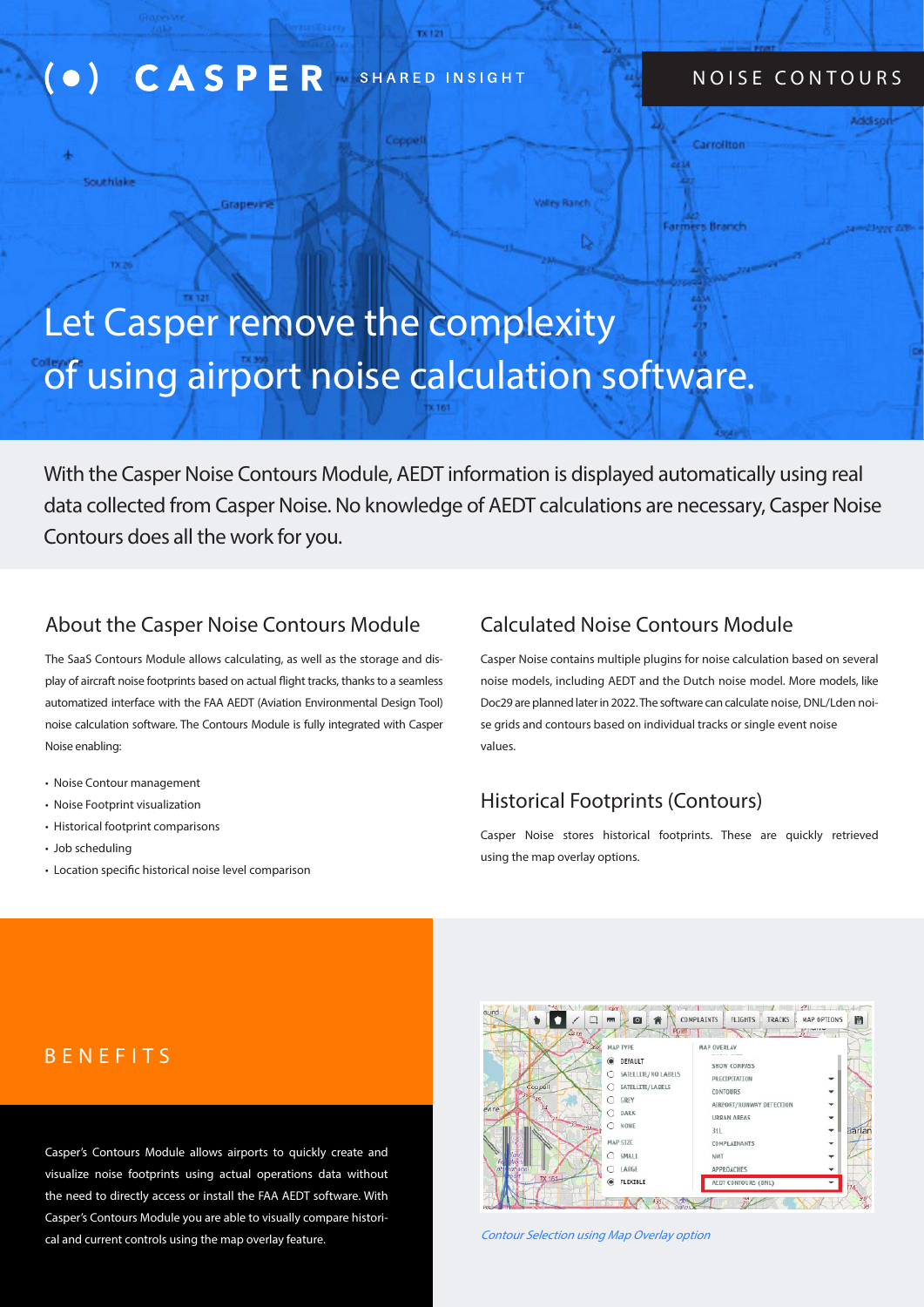#### **CASPER** SHARED INSIGHT  $\bullet$ )

Grapevini

#### NOISE CONTOURS

Carrollton

**Farmers Branch** 

# Let Casper remove the complexity of using airport noise calculation software.

Сорре

With the Casper Noise Contours Module, AEDT information is displayed automatically using real data collected from Casper Noise. No knowledge of AEDT calculations are necessary, Casper Noise Contours does all the work for you.

#### About the Casper Noise Contours Module Calculated Noise Contours Module

The SaaS Contours Module allows calculating, as well as the storage and display of aircraft noise footprints based on actual flight tracks, thanks to a seamless automatized interface with the FAA AEDT (Aviation Environmental Design Tool) noise calculation software. The Contours Module is fully integrated with Casper Noise enabling:

• Noise Contour management

Scentificke

- Noise Footprint visualization
- Historical footprint comparisons
- Job scheduling
- Location specific historical noise level comparison

**Valley Ranch** 

Casper Noise contains multiple plugins for noise calculation based on several noise models, including AEDT and the Dutch noise model. More models, like Doc29 are planned later in 2022. The software can calculate noise, DNL/Lden noise grids and contours based on individual tracks or single event noise values.

## Historical Footprints (Contours)

Casper Noise stores historical footprints. These are quickly retrieved using the map overlay options.

#### BENEFITS

Casper's Contours Module allows airports to quickly create and visualize noise footprints using actual operations data without the need to directly access or install the FAA AEDT software. With Casper's Contours Module you are able to visually compare historical and current controls using the map overlay feature.



Contour Selection using Map Overlay option